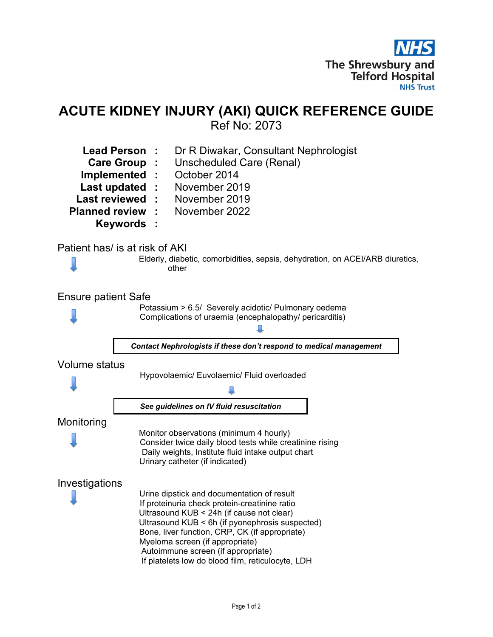

# ACUTE KIDNEY INJURY (AKI) QUICK REFERENCE GUIDE Ref No: 2073

| <b>Planned review</b>      | Dr R Diwakar, Consultant Nephrologist<br><b>Lead Person</b><br>Unscheduled Care (Renal)<br>Care Group :<br>October 2014<br>Implemented :<br>Last updated :<br>November 2019<br><b>Last reviewed</b><br>November 2019<br>November 2022<br><b>Keywords:</b>                                                                                                                   |
|----------------------------|-----------------------------------------------------------------------------------------------------------------------------------------------------------------------------------------------------------------------------------------------------------------------------------------------------------------------------------------------------------------------------|
|                            | Patient has/ is at risk of AKI<br>Elderly, diabetic, comorbidities, sepsis, dehydration, on ACEI/ARB diuretics,<br>other                                                                                                                                                                                                                                                    |
| <b>Ensure patient Safe</b> | Potassium > 6.5/ Severely acidotic/ Pulmonary oedema<br>Complications of uraemia (encephalopathy/ pericarditis)                                                                                                                                                                                                                                                             |
|                            | Contact Nephrologists if these don't respond to medical management                                                                                                                                                                                                                                                                                                          |
| <b>Volume status</b>       | Hypovolaemic/ Euvolaemic/ Fluid overloaded<br>See guidelines on IV fluid resuscitation                                                                                                                                                                                                                                                                                      |
| Monitoring                 | Monitor observations (minimum 4 hourly)<br>Consider twice daily blood tests while creatinine rising<br>Daily weights, Institute fluid intake output chart<br>Urinary catheter (if indicated)                                                                                                                                                                                |
| Investigations             | Urine dipstick and documentation of result<br>If proteinuria check protein-creatinine ratio<br>Ultrasound KUB < 24h (if cause not clear)<br>Ultrasound KUB < 6h (if pyonephrosis suspected)<br>Bone, liver function, CRP, CK (if appropriate)<br>Myeloma screen (if appropriate)<br>Autoimmune screen (if appropriate)<br>If platelets low do blood film, reticulocyte, LDH |